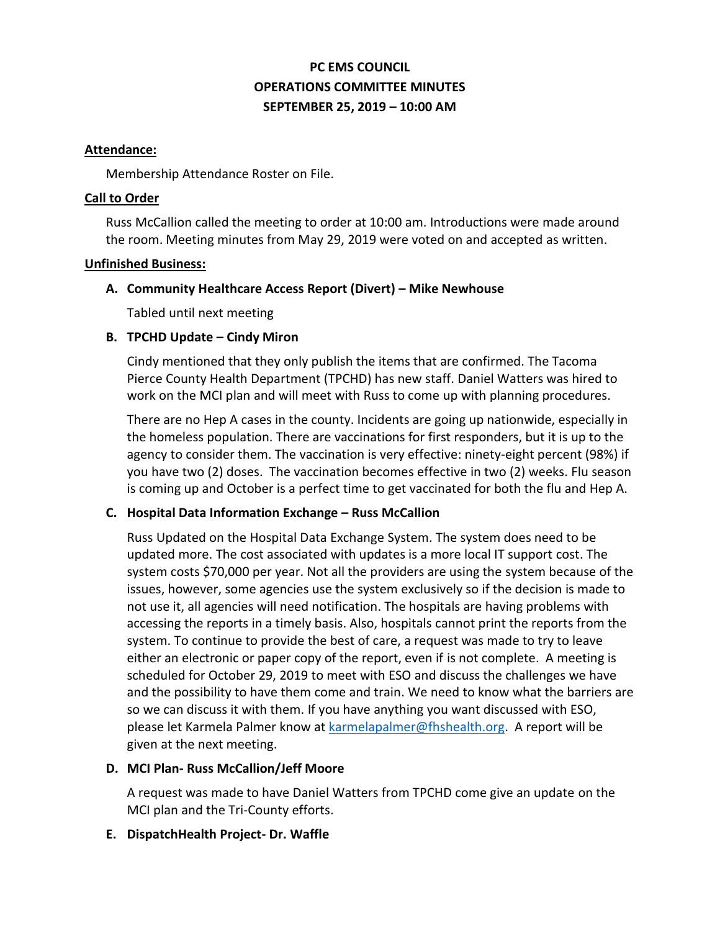# **PC EMS COUNCIL OPERATIONS COMMITTEE MINUTES SEPTEMBER 25, 2019 – 10:00 AM**

### **Attendance:**

Membership Attendance Roster on File.

### **Call to Order**

Russ McCallion called the meeting to order at 10:00 am. Introductions were made around the room. Meeting minutes from May 29, 2019 were voted on and accepted as written.

#### **Unfinished Business:**

### **A. Community Healthcare Access Report (Divert) – Mike Newhouse**

Tabled until next meeting

## **B. TPCHD Update – Cindy Miron**

Cindy mentioned that they only publish the items that are confirmed. The Tacoma Pierce County Health Department (TPCHD) has new staff. Daniel Watters was hired to work on the MCI plan and will meet with Russ to come up with planning procedures.

There are no Hep A cases in the county. Incidents are going up nationwide, especially in the homeless population. There are vaccinations for first responders, but it is up to the agency to consider them. The vaccination is very effective: ninety-eight percent (98%) if you have two (2) doses. The vaccination becomes effective in two (2) weeks. Flu season is coming up and October is a perfect time to get vaccinated for both the flu and Hep A.

### **C. Hospital Data Information Exchange – Russ McCallion**

Russ Updated on the Hospital Data Exchange System. The system does need to be updated more. The cost associated with updates is a more local IT support cost. The system costs \$70,000 per year. Not all the providers are using the system because of the issues, however, some agencies use the system exclusively so if the decision is made to not use it, all agencies will need notification. The hospitals are having problems with accessing the reports in a timely basis. Also, hospitals cannot print the reports from the system. To continue to provide the best of care, a request was made to try to leave either an electronic or paper copy of the report, even if is not complete. A meeting is scheduled for October 29, 2019 to meet with ESO and discuss the challenges we have and the possibility to have them come and train. We need to know what the barriers are so we can discuss it with them. If you have anything you want discussed with ESO, please let Karmela Palmer know at [karmelapalmer@fhshealth.org.](mailto:karmelapalmer@fhshealth.org) A report will be given at the next meeting.

### **D. MCI Plan- Russ McCallion/Jeff Moore**

A request was made to have Daniel Watters from TPCHD come give an update on the MCI plan and the Tri-County efforts.

### **E. DispatchHealth Project- Dr. Waffle**